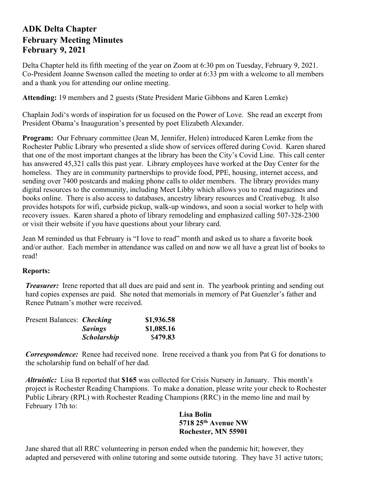## **ADK Delta Chapter February Meeting Minutes February 9, 2021**

Delta Chapter held its fifth meeting of the year on Zoom at 6:30 pm on Tuesday, February 9, 2021. Co-President Joanne Swenson called the meeting to order at 6:33 pm with a welcome to all members and a thank you for attending our online meeting.

**Attending:** 19 members and 2 guests (State President Marie Gibbons and Karen Lemke)

Chaplain Jodi's words of inspiration for us focused on the Power of Love. She read an excerpt from President Obama's Inauguration's presented by poet Elizabeth Alexander.

**Program:** Our February committee (Jean M, Jennifer, Helen) introduced Karen Lemke from the Rochester Public Library who presented a slide show of services offered during Covid. Karen shared that one of the most important changes at the library has been the City's Covid Line. This call center has answered 45,321 calls this past year. Library employees have worked at the Day Center for the homeless. They are in community partnerships to provide food, PPE, housing, internet access, and sending over 7400 postcards and making phone calls to older members. The library provides many digital resources to the community, including Meet Libby which allows you to read magazines and books online. There is also access to databases, ancestry library resources and Creativebug. It also provides hotspots for wifi, curbside pickup, walk-up windows, and soon a social worker to help with recovery issues. Karen shared a photo of library remodeling and emphasized calling 507-328-2300 or visit their website if you have questions about your library card.

Jean M reminded us that February is "I love to read" month and asked us to share a favorite book and/or author. Each member in attendance was called on and now we all have a great list of books to read!

## **Reports:**

*Treasurer:* Irene reported that all dues are paid and sent in. The yearbook printing and sending out hard copies expenses are paid. She noted that memorials in memory of Pat Guenzler's father and Renee Putnam's mother were received.

| Present Balances: <i>Checking</i> |                    | \$1,936.58 |
|-----------------------------------|--------------------|------------|
|                                   | <b>Savings</b>     | \$1,085.16 |
|                                   | <b>Scholarship</b> | \$479.83   |

*Correspondence:* Renee had received none. Irene received a thank you from Pat G for donations to the scholarship fund on behalf of her dad.

*Altruistic:* Lisa B reported that **\$165** was collected for Crisis Nursery in January. This month's project is Rochester Reading Champions. To make a donation, please write your check to Rochester Public Library (RPL) with Rochester Reading Champions (RRC) in the memo line and mail by February 17th to:

## **Lisa Bolin 5718 25th Avenue NW Rochester, MN 55901**

Jane shared that all RRC volunteering in person ended when the pandemic hit; however, they adapted and persevered with online tutoring and some outside tutoring. They have 31 active tutors;